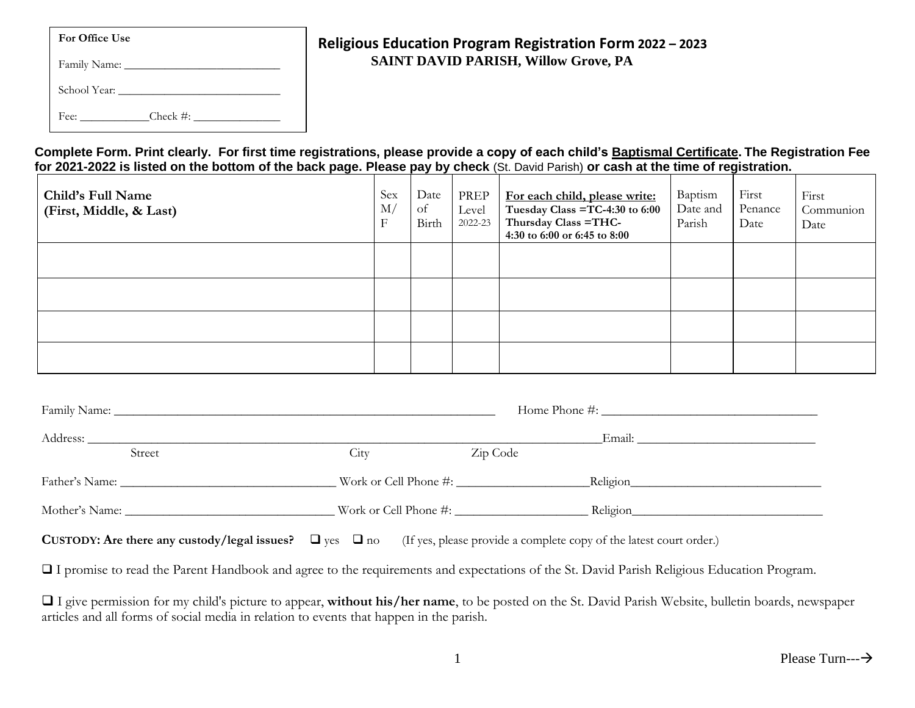| <b>For Office Use</b> |  |
|-----------------------|--|
|-----------------------|--|

| Family Name: |  |
|--------------|--|
| School Year: |  |

Fee: \_\_\_\_\_\_\_\_\_\_\_\_Check #: \_\_\_\_\_\_\_\_\_\_\_\_\_\_\_

# **Religious Education Program Registration Form 2022 – 2023 SAINT DAVID PARISH, Willow Grove, PA**

**Complete Form. Print clearly. For first time registrations, please provide a copy of each child's Baptismal Certificate. The Registration Fee for 2021-2022 is listed on the bottom of the back page. Please pay by check** (St. David Parish) **or cash at the time of registration.**

| Child's Full Name<br>(First, Middle, & Last) | Sex<br>M/<br>F | Date<br>of<br>Birth | PREP<br>Level<br>2022-23 | For each child, please write:<br>Tuesday Class = $TC-4:30$ to $6:00$<br>Thursday Class = THC-<br>4:30 to 6:00 or 6:45 to 8:00 | Baptism<br>Date and<br>Parish | First<br>Penance<br>Date | First<br>Communion<br>Date |
|----------------------------------------------|----------------|---------------------|--------------------------|-------------------------------------------------------------------------------------------------------------------------------|-------------------------------|--------------------------|----------------------------|
|                                              |                |                     |                          |                                                                                                                               |                               |                          |                            |
|                                              |                |                     |                          |                                                                                                                               |                               |                          |                            |
|                                              |                |                     |                          |                                                                                                                               |                               |                          |                            |
|                                              |                |                     |                          |                                                                                                                               |                               |                          |                            |

|                | Home Phone #: $\frac{1}{2}$ $\frac{1}{2}$ $\frac{1}{2}$ $\frac{1}{2}$ $\frac{1}{2}$ $\frac{1}{2}$ $\frac{1}{2}$ $\frac{1}{2}$ $\frac{1}{2}$ $\frac{1}{2}$ $\frac{1}{2}$ $\frac{1}{2}$ $\frac{1}{2}$ $\frac{1}{2}$ $\frac{1}{2}$ $\frac{1}{2}$ $\frac{1}{2}$ $\frac{1}{2}$ $\frac{1}{2}$ $\frac{1}{2}$ $\frac{1}{2$ |          |  |  |  |
|----------------|--------------------------------------------------------------------------------------------------------------------------------------------------------------------------------------------------------------------------------------------------------------------------------------------------------------------|----------|--|--|--|
| Street         | City<br>Zip Code                                                                                                                                                                                                                                                                                                   |          |  |  |  |
|                |                                                                                                                                                                                                                                                                                                                    | Religion |  |  |  |
| Mother's Name: |                                                                                                                                                                                                                                                                                                                    | Religion |  |  |  |
|                | $\overline{\phantom{a}}$                                                                                                                                                                                                                                                                                           |          |  |  |  |

**CUSTODY: Are there any custody/legal issues?**  $\Box$  **yes**  $\Box$  **no (If yes, please provide a complete copy of the latest court order.)** 

❑ I promise to read the Parent Handbook and agree to the requirements and expectations of the St. David Parish Religious Education Program.

❑ I give permission for my child's picture to appear, **without his/her name**, to be posted on the St. David Parish Website, bulletin boards, newspaper articles and all forms of social media in relation to events that happen in the parish.